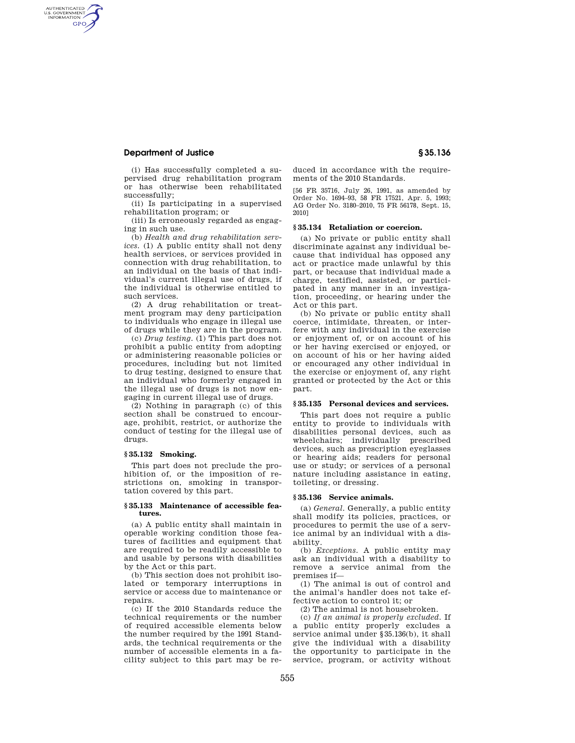## **Department of Justice § 35.136**

AUTHENTICATED<br>U.S. GOVERNMENT<br>INFORMATION **GPO** 

> (i) Has successfully completed a supervised drug rehabilitation program or has otherwise been rehabilitated successfully;

> (ii) Is participating in a supervised rehabilitation program; or

(iii) Is erroneously regarded as engaging in such use.

(b) *Health and drug rehabilitation services.* (1) A public entity shall not deny health services, or services provided in connection with drug rehabilitation, to an individual on the basis of that individual's current illegal use of drugs, if the individual is otherwise entitled to such services.

(2) A drug rehabilitation or treatment program may deny participation to individuals who engage in illegal use of drugs while they are in the program.

(c) *Drug testing.* (1) This part does not prohibit a public entity from adopting or administering reasonable policies or procedures, including but not limited to drug testing, designed to ensure that an individual who formerly engaged in the illegal use of drugs is not now engaging in current illegal use of drugs.

(2) Nothing in paragraph (c) of this section shall be construed to encourage, prohibit, restrict, or authorize the conduct of testing for the illegal use of drugs.

#### **§ 35.132 Smoking.**

This part does not preclude the prohibition of, or the imposition of restrictions on, smoking in transportation covered by this part.

#### **§ 35.133 Maintenance of accessible features.**

(a) A public entity shall maintain in operable working condition those features of facilities and equipment that are required to be readily accessible to and usable by persons with disabilities by the Act or this part.

(b) This section does not prohibit isolated or temporary interruptions in service or access due to maintenance or repairs.

(c) If the 2010 Standards reduce the technical requirements or the number of required accessible elements below the number required by the 1991 Standards, the technical requirements or the number of accessible elements in a facility subject to this part may be reduced in accordance with the requirements of the 2010 Standards.

[56 FR 35716, July 26, 1991, as amended by Order No. 1694–93, 58 FR 17521, Apr. 5, 1993; AG Order No. 3180–2010, 75 FR 56178, Sept. 15, 2010]

## **§ 35.134 Retaliation or coercion.**

(a) No private or public entity shall discriminate against any individual because that individual has opposed any act or practice made unlawful by this part, or because that individual made a charge, testified, assisted, or participated in any manner in an investigation, proceeding, or hearing under the Act or this part.

(b) No private or public entity shall coerce, intimidate, threaten, or interfere with any individual in the exercise or enjoyment of, or on account of his or her having exercised or enjoyed, or on account of his or her having aided or encouraged any other individual in the exercise or enjoyment of, any right granted or protected by the Act or this part.

### **§ 35.135 Personal devices and services.**

This part does not require a public entity to provide to individuals with disabilities personal devices, such as wheelchairs; individually prescribed devices, such as prescription eyeglasses or hearing aids; readers for personal use or study; or services of a personal nature including assistance in eating, toileting, or dressing.

#### **§ 35.136 Service animals.**

(a) *General.* Generally, a public entity shall modify its policies, practices, or procedures to permit the use of a service animal by an individual with a disability.

(b) *Exceptions.* A public entity may ask an individual with a disability to remove a service animal from the premises if—

(1) The animal is out of control and the animal's handler does not take effective action to control it; or

(2) The animal is not housebroken.

(c) *If an animal is properly excluded.* If a public entity properly excludes a service animal under §35.136(b), it shall give the individual with a disability the opportunity to participate in the service, program, or activity without